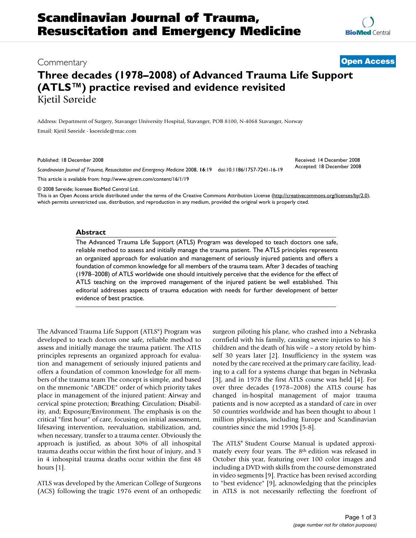# Commentary **[Open Access](http://www.biomedcentral.com/info/about/charter/)**

# **Three decades (1978–2008) of Advanced Trauma Life Support (ATLS™) practice revised and evidence revisited** Kjetil Søreide

Address: Department of Surgery, Stavanger University Hospital, Stavanger, POB 8100, N-4068 Stavanger, Norway Email: Kjetil Søreide - ksoreide@mac.com

Published: 18 December 2008

*Scandinavian Journal of Trauma, Resuscitation and Emergency Medicine* 2008, **16**:19 doi:10.1186/1757-7241-16-19

[This article is available from: http://www.sjtrem.com/content/16/1/19](http://www.sjtrem.com/content/16/1/19)

© 2008 Søreide; licensee BioMed Central Ltd.

This is an Open Access article distributed under the terms of the Creative Commons Attribution License [\(http://creativecommons.org/licenses/by/2.0\)](http://creativecommons.org/licenses/by/2.0), which permits unrestricted use, distribution, and reproduction in any medium, provided the original work is properly cited.

### **Abstract**

The Advanced Trauma Life Support (ATLS) Program was developed to teach doctors one safe, reliable method to assess and initially manage the trauma patient. The ATLS principles represents an organized approach for evaluation and management of seriously injured patients and offers a foundation of common knowledge for all members of the trauma team. After 3 decades of teaching (1978–2008) of ATLS worldwide one should intuitively perceive that the evidence for the effect of ATLS teaching on the improved management of the injured patient be well established. This editorial addresses aspects of trauma education with needs for further development of better evidence of best practice.

The Advanced Trauma Life Support (ATLS®) Program was developed to teach doctors one safe, reliable method to assess and initially manage the trauma patient. The ATLS principles represents an organized approach for evaluation and management of seriously injured patients and offers a foundation of common knowledge for all members of the trauma team The concept is simple, and based on the mnemonic "ABCDE" order of which priority takes place in management of the injured patient: **A**irway and cervical spine protection; **B**reathing; **C**irculation; **D**isability, and; **E**xposure/**E**nvironment. The emphasis is on the critical "first hour" of care, focusing on initial assessment, lifesaving intervention, reevaluation, stabilization, and, when necessary, transfer to a trauma center. Obviously the approach is justified, as about 30% of all inhospital trauma deaths occur within the first hour of injury, and 3 in 4 inhospital trauma deaths occur within the first 48 hours  $[1]$ .

ATLS was developed by the American College of Surgeons (ACS) following the tragic 1976 event of an orthopedic surgeon piloting his plane, who crashed into a Nebraska cornfield with his family, causing severe injuries to his 3 children and the death of his wife – a story retold by himself 30 years later [2]. Insufficiency in the system was noted by the care received at the primary care facility, leading to a call for a systems change that began in Nebraska [3], and in 1978 the first ATLS course was held [4]. For over three decades (1978–2008) the ATLS course has changed in-hospital management of major trauma patients and is now accepted as a standard of care in over 50 countries worldwide and has been thought to about 1 million physicians, including Europe and Scandinavian countries since the mid 1990s [5-8].

The ATLS® Student Course Manual is updated approximately every four years. The 8th edition was released in October this year, featuring over 100 color images and including a DVD with skills from the course demonstrated in video segments [9]. Practice has been revised according to "best evidence" [9], acknowledging that the principles in ATLS is not necessarily reflecting the forefront of

Received: 14 December 2008 Accepted: 18 December 2008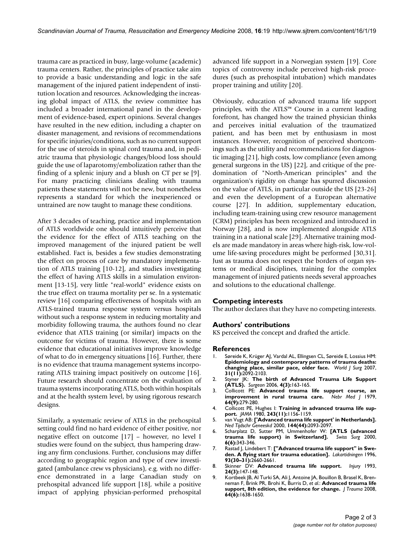trauma care as practiced in busy, large-volume (academic) trauma centers. Rather, the principles of practice take aim to provide a basic understanding and logic in the safe management of the injured patient independent of institution location and resources. Acknowledging the increasing global impact of ATLS, the review committee has included a broader international panel in the development of evidence-based, expert opinions. Several changes have resulted in the new edition, including a chapter on disaster management, and revisions of recommendations for specific injuries/conditions, such as no current support for the use of steroids in spinal cord trauma and, in pediatric trauma that physiologic changes/blood loss should guide the use of laparotomy/embolization rather than the finding of a splenic injury and a blush on CT per se [9]. For many practicing clinicians dealing with trauma patients these statements will not be new, but nonetheless represents a standard for which the inexperienced or untrained are now taught to manage these conditions.

After 3 decades of teaching, practice and implementation of ATLS worldwide one should intuitively perceive that the evidence for the effect of ATLS teaching on the improved management of the injured patient be well established. Fact is, besides a few studies demonstrating the effect on process of care by mandatory implementation of ATLS training [10-12], and studies investigating the effect of having ATLS skills in a simulation environment [13-15], very little "real-world" evidence exists on the true effect on trauma mortality per se. In a systematic review [16] comparing effectiveness of hospitals with an ATLS-trained trauma response system versus hospitals without such a response system in reducing mortality and morbidity following trauma, the authors found no clear evidence that ATLS training (or similar) impacts on the outcome for victims of trauma. However, there is some evidence that educational initiatives improve knowledge of what to do in emergency situations [16]. Further, there is no evidence that trauma management systems incorporating ATLS training impact positively on outcome [16]. Future research should concentrate on the evaluation of trauma systems incorporating ATLS, both within hospitals and at the health system level, by using rigorous research designs.

Similarly, a systematic review of ATLS in the prehospital setting could find no hard evidence of either positive, nor negative effect on outcome [17] – however, no level I studies were found on the subject, thus hampering drawing any firm conclusions. Further, conclusions may differ according to geographic region and type of crew investigated (ambulance crew vs physicians), e.g. with no difference demonstrated in a large Canadian study on prehospital advanced life support [18], while a positive impact of applying physician-performed prehospital

advanced life support in a Norwegian system [19]. Core topics of controversy include perceived high-risk procedures (such as prehospital intubation) which mandates proper training and utility [20].

Obviously, education of advanced trauma life support principles, with the ATLS™ Course in a current leading forefront, has changed how the trained physician thinks and perceives initial evaluation of the traumatized patient, and has been met by enthusiasm in most instances. However, recognition of perceived shortcomings such as the utility and recommendations for diagnostic imaging [21], high costs, low compliance (even among general surgeons in the US) [22], and critique of the predomination of "North-American principles" and the organization's rigidity on change has spurred discussion on the value of ATLS, in particular outside the US [23-26] and even the development of a European alternative course [27]. In addition, supplementary education, including team-training using crew resource management (CRM) principles has been recognized and introduced in Norway [28], and is now implemented alongside ATLS training in a national scale [29]. Alternative training models are made mandatory in areas where high-risk, low-volume life-saving procedures might be performed [30,31]. Just as trauma does not respect the borders of organ systems or medical disciplines, training for the complex management of injured patients needs several approaches and solutions to the educational challenge.

# **Competing interests**

The author declares that they have no competing interests.

## **Authors' contributions**

KS perceived the concept and drafted the article.

### **References**

- Søreide K, Krüger AJ, Vardal AL, Ellingsen CL, Søreide E, Lossius HM: **[Epidemiology and contemporary patterns of trauma deaths:](http://www.ncbi.nlm.nih.gov/entrez/query.fcgi?cmd=Retrieve&db=PubMed&dopt=Abstract&list_uids=17899256) [changing place, similar pace, older face.](http://www.ncbi.nlm.nih.gov/entrez/query.fcgi?cmd=Retrieve&db=PubMed&dopt=Abstract&list_uids=17899256)** *World J Surg* 2007, **31(11):**2092-2103.
- 2. Styner JK: **[The birth of Advanced Trauma Life Support](http://www.ncbi.nlm.nih.gov/entrez/query.fcgi?cmd=Retrieve&db=PubMed&dopt=Abstract&list_uids=16764202) [\(ATLS\).](http://www.ncbi.nlm.nih.gov/entrez/query.fcgi?cmd=Retrieve&db=PubMed&dopt=Abstract&list_uids=16764202)** *Surgeon* 2006, **4(3):**163-165.
- 3. Collicott PE: **[Advanced trauma life support course, an](http://www.ncbi.nlm.nih.gov/entrez/query.fcgi?cmd=Retrieve&db=PubMed&dopt=Abstract&list_uids=481642) [improvement in rural trauma care.](http://www.ncbi.nlm.nih.gov/entrez/query.fcgi?cmd=Retrieve&db=PubMed&dopt=Abstract&list_uids=481642)** *Nebr Med J* 1979, **64(9):**279-280.
- 4. Collicott PE, Hughes I: **[Training in advanced trauma life sup](http://www.ncbi.nlm.nih.gov/entrez/query.fcgi?cmd=Retrieve&db=PubMed&dopt=Abstract&list_uids=7359667)[port.](http://www.ncbi.nlm.nih.gov/entrez/query.fcgi?cmd=Retrieve&db=PubMed&dopt=Abstract&list_uids=7359667)** *JAMA* 1980, **243(11):**1156-1159.
- 5. van Vugt AB: **[\['Advanced trauma life support' in Netherlands\].](http://www.ncbi.nlm.nih.gov/entrez/query.fcgi?cmd=Retrieve&db=PubMed&dopt=Abstract&list_uids=11103668)** *Ned Tijdschr Geneeskd* 2000, **144(44):**2093-2097.
- 6. Scharplatz D, Sutter PM, Ummenhofer W: **[\[ATLS \(advanced](http://www.ncbi.nlm.nih.gov/entrez/query.fcgi?cmd=Retrieve&db=PubMed&dopt=Abstract&list_uids=11142159)** [trauma life support\) in Switzerland\].](http://www.ncbi.nlm.nih.gov/entrez/query.fcgi?cmd=Retrieve&db=PubMed&dopt=Abstract&list_uids=11142159) **6(6):**343-346.
- 7. Rastad J, Lindebert T: **[\["Advanced trauma life support" in Swe](http://www.ncbi.nlm.nih.gov/entrez/query.fcgi?cmd=Retrieve&db=PubMed&dopt=Abstract&list_uids=8765782)[den. A flying start for trauma education\].](http://www.ncbi.nlm.nih.gov/entrez/query.fcgi?cmd=Retrieve&db=PubMed&dopt=Abstract&list_uids=8765782)** *Lakartidningen* 1996, **93(30–31):**2660-2661.
- 8. Skinner DV: **[Advanced trauma life support.](http://www.ncbi.nlm.nih.gov/entrez/query.fcgi?cmd=Retrieve&db=PubMed&dopt=Abstract&list_uids=8509178)** *Injury* 1993, **24(3):**147-148.
- 9. Kortbeek JB, Al Turki SA, Ali J, Antoine JA, Bouillon B, Brasel K, Brenneman F, Brink PR, Brohi K, Burris D, *et al.*: **[Advanced trauma life](http://www.ncbi.nlm.nih.gov/entrez/query.fcgi?cmd=Retrieve&db=PubMed&dopt=Abstract&list_uids=18545134) [support, 8th edition, the evidence for change.](http://www.ncbi.nlm.nih.gov/entrez/query.fcgi?cmd=Retrieve&db=PubMed&dopt=Abstract&list_uids=18545134)** *J Trauma* 2008, **64(6):**1638-1650.